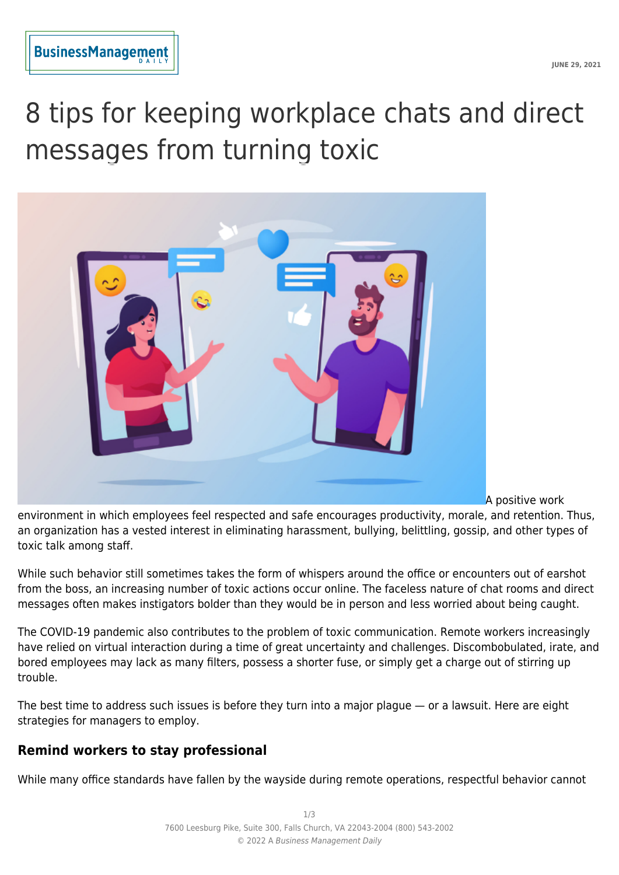# 8 tips for keeping workplace chats and direct messages from turning toxic



A positive work

environment in which employees feel respected and safe encourages productivity, morale, and retention. Thus, an organization has a vested interest in eliminating harassment, bullying, belittling, gossip, and other types of toxic talk among staff.

While such behavior still sometimes takes the form of whispers around the office or encounters out of earshot from the boss, an increasing number of toxic actions occur online. The faceless nature of chat rooms and direct messages often makes instigators bolder than they would be in person and less worried about being caught.

The COVID-19 pandemic also contributes to the problem of toxic communication. Remote workers increasingly have relied on virtual interaction during a time of great uncertainty and challenges. Discombobulated, irate, and bored employees may lack as many filters, possess a shorter fuse, or simply get a charge out of stirring up trouble.

The best time to address such issues is before they turn into a major plague — or a lawsuit. Here are eight strategies for managers to employ.

## **Remind workers to stay professional**

While many office standards have fallen by the wayside during remote operations, respectful behavior cannot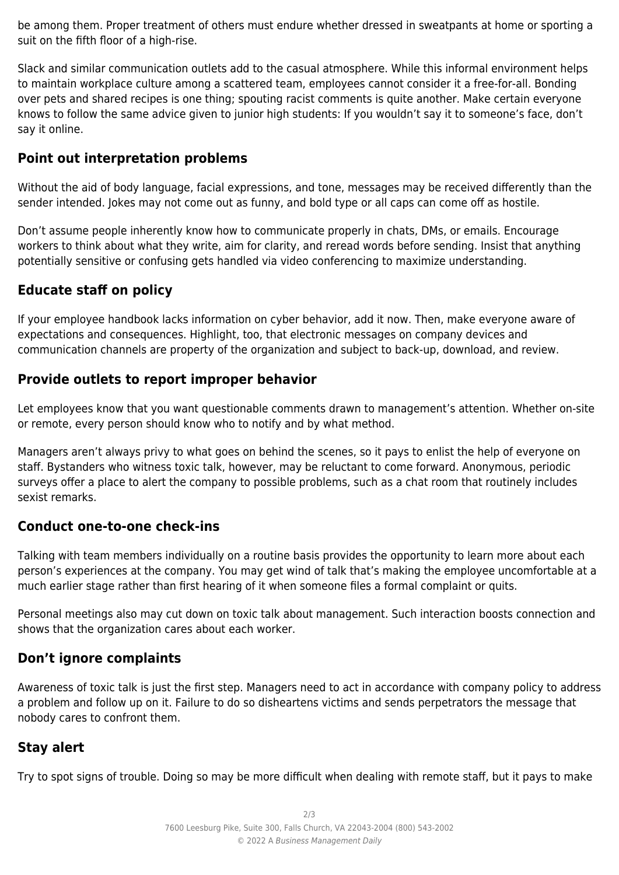be among them. Proper treatment of others must endure whether dressed in sweatpants at home or sporting a suit on the fifth floor of a high-rise.

Slack and similar communication outlets add to the casual atmosphere. While this informal environment helps to maintain workplace culture among a scattered team, employees cannot consider it a free-for-all. Bonding over pets and shared recipes is one thing; spouting racist comments is quite another. Make certain everyone knows to follow the same advice given to junior high students: If you wouldn't say it to someone's face, don't say it online.

## **Point out interpretation problems**

Without the aid of body language, facial expressions, and tone, messages may be received differently than the sender intended. Jokes may not come out as funny, and bold type or all caps can come off as hostile.

Don't assume people inherently know how to communicate properly in chats, DMs, or emails. Encourage workers to think about what they write, aim for clarity, and reread words before sending. Insist that anything potentially sensitive or confusing gets handled via video conferencing to maximize understanding.

## **Educate staff on policy**

If your employee handbook lacks information on cyber behavior, add it now. Then, make everyone aware of expectations and consequences. Highlight, too, that electronic messages on company devices and communication channels are property of the organization and subject to back-up, download, and review.

### **Provide outlets to report improper behavior**

Let employees know that you want questionable comments drawn to management's attention. Whether on-site or remote, every person should know who to notify and by what method.

Managers aren't always privy to what goes on behind the scenes, so it pays to enlist the help of everyone on staff. Bystanders who witness toxic talk, however, may be reluctant to come forward. Anonymous, periodic surveys offer a place to alert the company to possible problems, such as a chat room that routinely includes sexist remarks.

## **Conduct one-to-one check-ins**

Talking with team members individually on a routine basis provides the opportunity to learn more about each person's experiences at the company. You may get wind of talk that's making the employee uncomfortable at a much earlier stage rather than first hearing of it when someone files a formal complaint or quits.

Personal meetings also may cut down on toxic talk about management. Such interaction boosts connection and shows that the organization cares about each worker.

## **Don't ignore complaints**

Awareness of toxic talk is just the first step. Managers need to act in accordance with company policy to address a problem and follow up on it. Failure to do so disheartens victims and sends perpetrators the message that nobody cares to confront them.

## **Stay alert**

Try to spot signs of trouble. Doing so may be more difficult when dealing with remote staff, but it pays to make